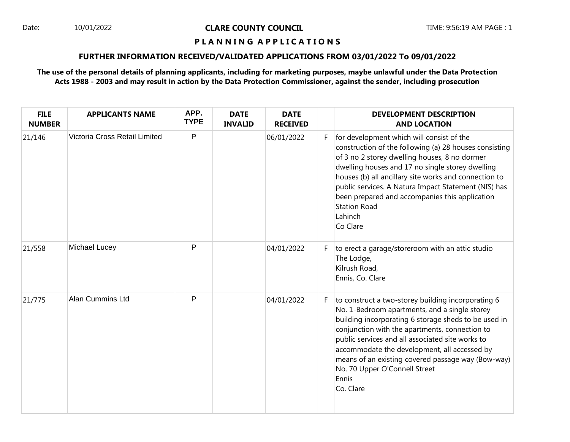### Date: 10/01/2022 **CLARE COUNTY COUNCIL** TIME: 9:56:19 AM PAGE : 1

## **P L A N N I N G A P P L I C A T I O N S**

## **FURTHER INFORMATION RECEIVED/VALIDATED APPLICATIONS FROM 03/01/2022 To 09/01/2022**

## **The use of the personal details of planning applicants, including for marketing purposes, maybe unlawful under the Data Protection Acts 1988 - 2003 and may result in action by the Data Protection Commissioner, against the sender, including prosecution**

| <b>FILE</b><br><b>NUMBER</b> | <b>APPLICANTS NAME</b>        | APP.<br><b>TYPE</b> | <b>DATE</b><br><b>INVALID</b> | <b>DATE</b><br><b>RECEIVED</b> |    | <b>DEVELOPMENT DESCRIPTION</b><br><b>AND LOCATION</b>                                                                                                                                                                                                                                                                                                                                                                          |
|------------------------------|-------------------------------|---------------------|-------------------------------|--------------------------------|----|--------------------------------------------------------------------------------------------------------------------------------------------------------------------------------------------------------------------------------------------------------------------------------------------------------------------------------------------------------------------------------------------------------------------------------|
| 21/146                       | Victoria Cross Retail Limited | P                   |                               | 06/01/2022                     | F. | for development which will consist of the<br>construction of the following (a) 28 houses consisting<br>of 3 no 2 storey dwelling houses, 8 no dormer<br>dwelling houses and 17 no single storey dwelling<br>houses (b) all ancillary site works and connection to<br>public services. A Natura Impact Statement (NIS) has<br>been prepared and accompanies this application<br><b>Station Road</b><br>Lahinch<br>Co Clare      |
| 21/558                       | Michael Lucey                 | P                   |                               | 04/01/2022                     | F. | to erect a garage/storeroom with an attic studio<br>The Lodge,<br>Kilrush Road,<br>Ennis, Co. Clare                                                                                                                                                                                                                                                                                                                            |
| 21/775                       | Alan Cummins Ltd              | $\mathsf{P}$        |                               | 04/01/2022                     | F. | to construct a two-storey building incorporating 6<br>No. 1-Bedroom apartments, and a single storey<br>building incorporating 6 storage sheds to be used in<br>conjunction with the apartments, connection to<br>public services and all associated site works to<br>accommodate the development, all accessed by<br>means of an existing covered passage way (Bow-way)<br>No. 70 Upper O'Connell Street<br>Ennis<br>Co. Clare |